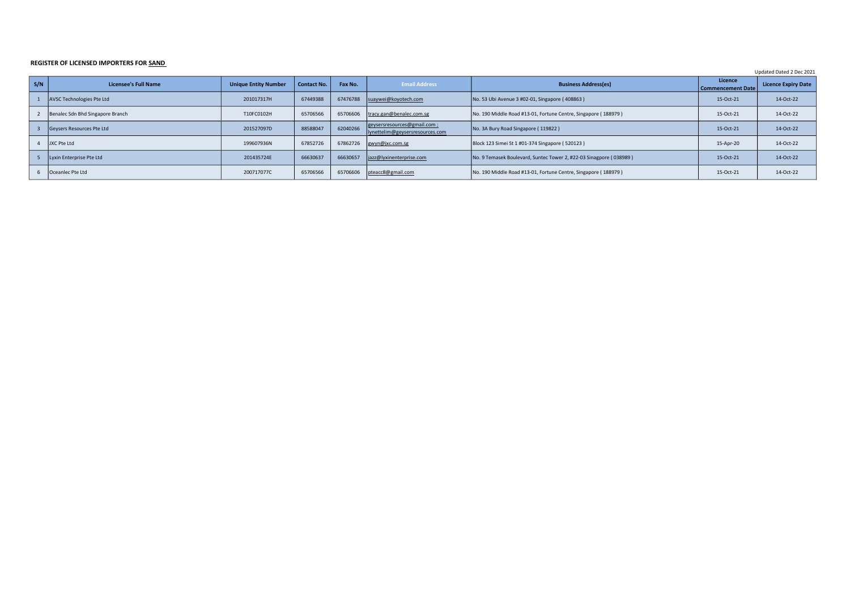## REGISTER OF LICENSED IMPORTERS FOR SAND

Updated Dated 2 Dec 2021

| S/N | <b>Licensee's Full Name</b>      | <b>Unique Entity Number</b> | <b>Contact No.</b> | Fax No.  | <b>Email Address</b>                                           | <b>Business Address(es)</b>                                        | Licence<br><b>Commencement Date</b> | <b>Licence Expiry Date</b> |
|-----|----------------------------------|-----------------------------|--------------------|----------|----------------------------------------------------------------|--------------------------------------------------------------------|-------------------------------------|----------------------------|
|     | AVSC Technologies Pte Ltd        | 201017317H                  | 67449388           | 67476788 | suaywei@koyotech.com                                           | No. 53 Ubi Avenue 3 #02-01, Singapore (408863)                     | 15-Oct-21                           | 14-Oct-22                  |
|     | Benalec Sdn Bhd Singapore Branch | T10FC0102H                  | 65706566           | 65706606 | tracy.gan@benalec.com.sg                                       | No. 190 Middle Road #13-01, Fortune Centre, Singapore (188979)     | 15-Oct-21                           | 14-Oct-22                  |
|     | Gevsers Resources Pte Ltd        | 201527097D                  | 88588047           | 62040266 | geysersresources@gmail.com;<br>lynettelim@geysersresources.com | No. 3A Bury Road Singapore (119822)                                | 15-Oct-21                           | 14-Oct-22                  |
|     | JXC Pte Ltd                      | 199607936N                  | 67852726           | 67862726 | gwyn@jxc.com.sg                                                | Block 123 Simei St 1 #01-374 Singapore (520123)                    | 15-Apr-20                           | 14-Oct-22                  |
|     | Lyxin Enterprise Pte Ltd         | 201435724E                  | 66630637           | 66630657 | jazz@lyxinenterprise.com                                       | No. 9 Temasek Boulevard, Suntec Tower 2, #22-03 Sinagpore (038989) | 15-Oct-21                           | 14-Oct-22                  |
| 6   | Oceanlec Pte Ltd                 | 200717077C                  | 65706566           | 65706606 | pteacc8@gmail.com                                              | No. 190 Middle Road #13-01, Fortune Centre, Singapore (188979)     | 15-Oct-21                           | 14-Oct-22                  |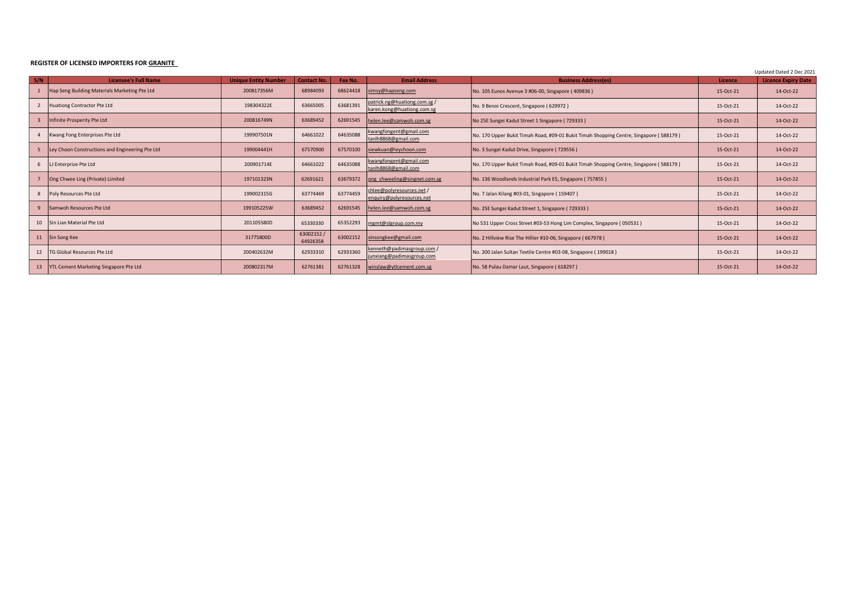## REGISTER OF LICENSED IMPORTERS FOR GRANITE

Updated Dated 2 Dec 2021

| S/N | <b>Licensee's Full Name</b>                     | <b>Unique Entity Number</b> | <b>Contact No.</b>   | Fax No.  | <b>Email Address</b>                                       | <b>Business Address(es)</b>                                                            | Licence   | Opuated Dated 2 Dec 2021<br><b>Licence Expiry Date</b> |
|-----|-------------------------------------------------|-----------------------------|----------------------|----------|------------------------------------------------------------|----------------------------------------------------------------------------------------|-----------|--------------------------------------------------------|
|     | Hap Seng Building Materials Marketing Pte Ltd   | 200817356M                  | 68984093             | 68624418 | simsy@hapseng.com                                          | No. 105 Eunos Avenue 3 #06-00, Singapore (409836)                                      | 15-Oct-21 | 14-Oct-22                                              |
|     | Huationg Contractor Pte Ltd                     | 198304322E                  | 63665005             | 63681391 | patrick.ng@huationg.com.sg /<br>karen.kong@huationg.com.sg | No. 9 Benoi Crescent, Singapore (629972)                                               | 15-Oct-21 | 14-Oct-22                                              |
|     | Infinite Prosperity Pte Ltd                     | 200816749N                  | 63689452             | 62691545 | helen.lee@samwoh.com.sg                                    | No 25E Sungei Kadut Street 1 Singapore (729333)                                        | 15-Oct-21 | 14-Oct-22                                              |
|     | Kwang Fong Enterprises Pte Ltd                  | 199907501N                  | 64661022             | 64635088 | kwangfongent@gmail.com<br>tanlh8868@gmail.com              | No. 170 Upper Bukit Timah Road, #09-01 Bukit Timah Shopping Centre, Singapore (588179) | 15-Oct-21 | 14-Oct-22                                              |
|     | Ley Choon Constructions and Engineering Pte Ltd | 199004441H                  | 67570900             | 67570100 | siewkuan@leychoon.com                                      | No. 3 Sungei Kadut Drive, Singapore (729556)                                           | 15-Oct-21 | 14-Oct-22                                              |
|     | LJ Enterprize Pte Ltd                           | 200901714E                  | 64661022             | 64635088 | kwangfongent@gmail.com<br>tanlh8868@gmail.com              | No. 170 Upper Bukit Timah Road, #09-01 Bukit Timah Shopping Centre, Singapore (588179) | 15-Oct-21 | 14-Oct-22                                              |
|     | Ong Chwee Ling (Private) Limited                | 197101323N                  | 62691621             | 63679372 | ong chweeling@singnet.com.sg                               | No. 136 Woodlands Industrial Park E5, Singapore (757855)                               | 15-Oct-21 | 14-Oct-22                                              |
|     | Poly Resources Pte Ltd                          | 199002315G                  | 63774469             | 63774459 | chlee@polyresources.net /<br>enquiry@polyresources.net     | No. 7 Jalan Kilang #03-01, Singapore (159407)                                          | 15-Oct-21 | 14-Oct-22                                              |
| 9   | Samwoh Resources Pte Ltd                        | 199105225W                  | 63689452             | 62691545 | helen.lee@samwoh.com.sg                                    | No. 25E Sungei Kadut Street 1, Singapore (729333)                                      | 15-Oct-21 | 14-Oct-22                                              |
| 10  | Sin Lian Material Pte Ltd                       | 201105580D                  | 65330330             | 65352293 | mgmt@slgroup.com.my                                        | No 531 Upper Cross Street #03-53 Hong Lim Complex, Singapore (050531)                  | 15-Oct-21 | 14-Oct-22                                              |
| 11  | Sin Song Kee                                    | 31775800D                   | 63002152<br>64926358 | 63002152 | sinsongkee@gmail.com                                       | No. 2 Hillview Rise The Hillier #10-06, Singapore (667978)                             | 15-Oct-21 | 14-Oct-22                                              |
| 12  | <b>FG Global Resources Pte Ltd</b>              | 200402632M                  | 62933310             | 62933360 | kenneth@padimasgroup.com /<br>junxiang@padimasgroup.com    | No. 200 Jalan Sultan Textile Centre #03-08, Singapore (199018)                         | 15-Oct-21 | 14-Oct-22                                              |
| 13  | YTL Cement Marketing Singapore Pte Ltd          | 200802317M                  | 62761381             | 62761328 | winslaw@ytlcement.com.sg                                   | No. 58 Pulau Damar Laut, Singapore (618297)                                            | 15-Oct-21 | 14-Oct-22                                              |